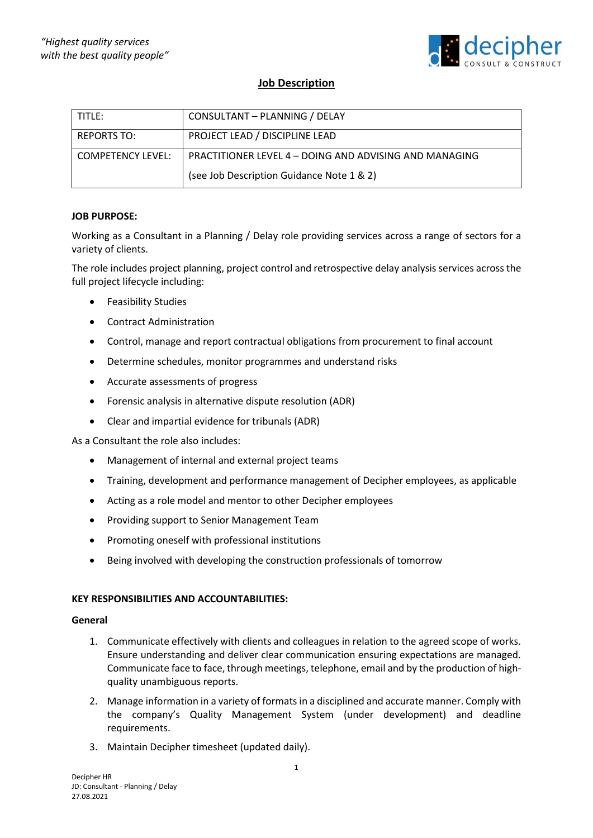

# **Job Description**

| i title:                 | CONSULTANT - PLANNING / DELAY                                 |
|--------------------------|---------------------------------------------------------------|
| <b>REPORTS TO:</b>       | PROJECT LEAD / DISCIPLINE LEAD                                |
| <b>COMPETENCY LEVEL:</b> | <b>PRACTITIONER LEVEL 4 – DOING AND ADVISING AND MANAGING</b> |
|                          | (see Job Description Guidance Note 1 & 2)                     |

# **JOB PURPOSE:**

Working as a Consultant in a Planning / Delay role providing services across a range of sectors for a variety of clients.

The role includes project planning, project control and retrospective delay analysis services across the full project lifecycle including:

- Feasibility Studies
- Contract Administration
- Control, manage and report contractual obligations from procurement to final account
- Determine schedules, monitor programmes and understand risks
- Accurate assessments of progress
- Forensic analysis in alternative dispute resolution (ADR)
- Clear and impartial evidence for tribunals (ADR)

As a Consultant the role also includes:

- Management of internal and external project teams
- Training, development and performance management of Decipher employees, as applicable
- Acting as a role model and mentor to other Decipher employees
- Providing support to Senior Management Team
- Promoting oneself with professional institutions
- Being involved with developing the construction professionals of tomorrow

# **KEY RESPONSIBILITIES AND ACCOUNTABILITIES:**

#### **General**

- 1. Communicate effectively with clients and colleagues in relation to the agreed scope of works. Ensure understanding and deliver clear communication ensuring expectations are managed. Communicate face to face, through meetings, telephone, email and by the production of highquality unambiguous reports.
- 2. Manage information in a variety of formats in a disciplined and accurate manner. Comply with the company's Quality Management System (under development) and deadline requirements.
- 3. Maintain Decipher timesheet (updated daily).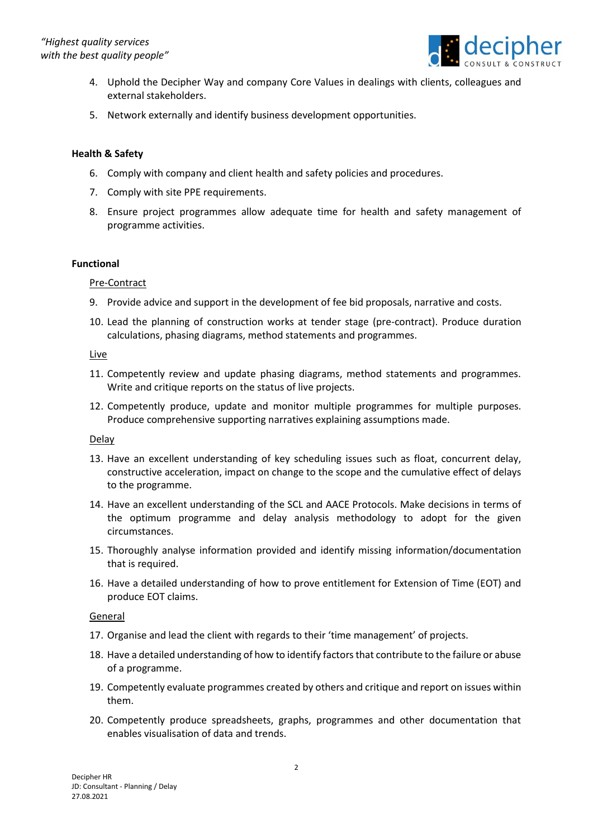

- 4. Uphold the Decipher Way and company Core Values in dealings with clients, colleagues and external stakeholders.
- 5. Network externally and identify business development opportunities.

# **Health & Safety**

- 6. Comply with company and client health and safety policies and procedures.
- 7. Comply with site PPE requirements.
- 8. Ensure project programmes allow adequate time for health and safety management of programme activities.

#### **Functional**

Pre-Contract

- 9. Provide advice and support in the development of fee bid proposals, narrative and costs.
- 10. Lead the planning of construction works at tender stage (pre-contract). Produce duration calculations, phasing diagrams, method statements and programmes.

#### Live

- 11. Competently review and update phasing diagrams, method statements and programmes. Write and critique reports on the status of live projects.
- 12. Competently produce, update and monitor multiple programmes for multiple purposes. Produce comprehensive supporting narratives explaining assumptions made.

# **Delay**

- 13. Have an excellent understanding of key scheduling issues such as float, concurrent delay, constructive acceleration, impact on change to the scope and the cumulative effect of delays to the programme.
- 14. Have an excellent understanding of the SCL and AACE Protocols. Make decisions in terms of the optimum programme and delay analysis methodology to adopt for the given circumstances.
- 15. Thoroughly analyse information provided and identify missing information/documentation that is required.
- 16. Have a detailed understanding of how to prove entitlement for Extension of Time (EOT) and produce EOT claims.

# General

- 17. Organise and lead the client with regards to their 'time management' of projects.
- 18. Have a detailed understanding of how to identify factors that contribute to the failure or abuse of a programme.
- 19. Competently evaluate programmes created by others and critique and report on issues within them.
- 20. Competently produce spreadsheets, graphs, programmes and other documentation that enables visualisation of data and trends.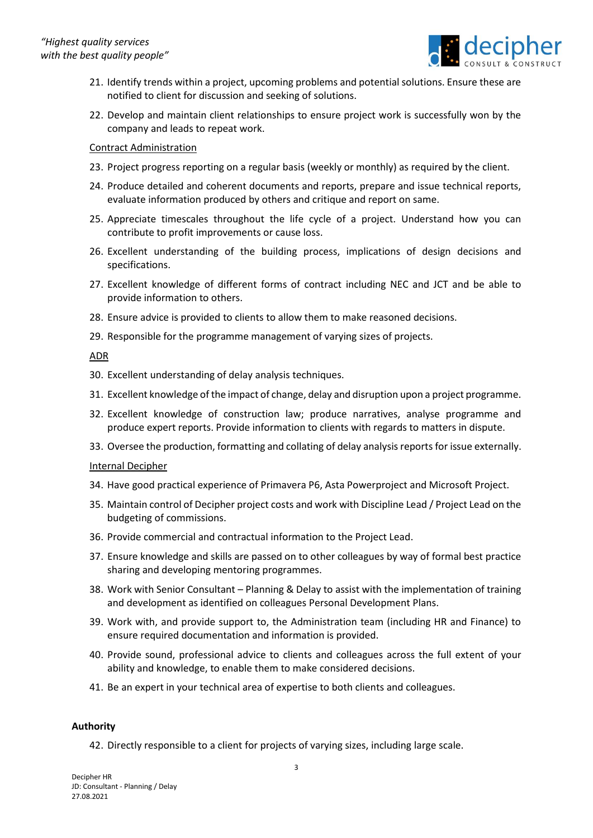

- 21. Identify trends within a project, upcoming problems and potential solutions. Ensure these are notified to client for discussion and seeking of solutions.
- 22. Develop and maintain client relationships to ensure project work is successfully won by the company and leads to repeat work.

### Contract Administration

- 23. Project progress reporting on a regular basis (weekly or monthly) as required by the client.
- 24. Produce detailed and coherent documents and reports, prepare and issue technical reports, evaluate information produced by others and critique and report on same.
- 25. Appreciate timescales throughout the life cycle of a project. Understand how you can contribute to profit improvements or cause loss.
- 26. Excellent understanding of the building process, implications of design decisions and specifications.
- 27. Excellent knowledge of different forms of contract including NEC and JCT and be able to provide information to others.
- 28. Ensure advice is provided to clients to allow them to make reasoned decisions.
- 29. Responsible for the programme management of varying sizes of projects.

#### ADR

- 30. Excellent understanding of delay analysis techniques.
- 31. Excellent knowledge of the impact of change, delay and disruption upon a project programme.
- 32. Excellent knowledge of construction law; produce narratives, analyse programme and produce expert reports. Provide information to clients with regards to matters in dispute.
- 33. Oversee the production, formatting and collating of delay analysis reports for issue externally.

# Internal Decipher

- 34. Have good practical experience of Primavera P6, Asta Powerproject and Microsoft Project.
- 35. Maintain control of Decipher project costs and work with Discipline Lead / Project Lead on the budgeting of commissions.
- 36. Provide commercial and contractual information to the Project Lead.
- 37. Ensure knowledge and skills are passed on to other colleagues by way of formal best practice sharing and developing mentoring programmes.
- 38. Work with Senior Consultant Planning & Delay to assist with the implementation of training and development as identified on colleagues Personal Development Plans.
- 39. Work with, and provide support to, the Administration team (including HR and Finance) to ensure required documentation and information is provided.
- 40. Provide sound, professional advice to clients and colleagues across the full extent of your ability and knowledge, to enable them to make considered decisions.
- 41. Be an expert in your technical area of expertise to both clients and colleagues.

# **Authority**

42. Directly responsible to a client for projects of varying sizes, including large scale.